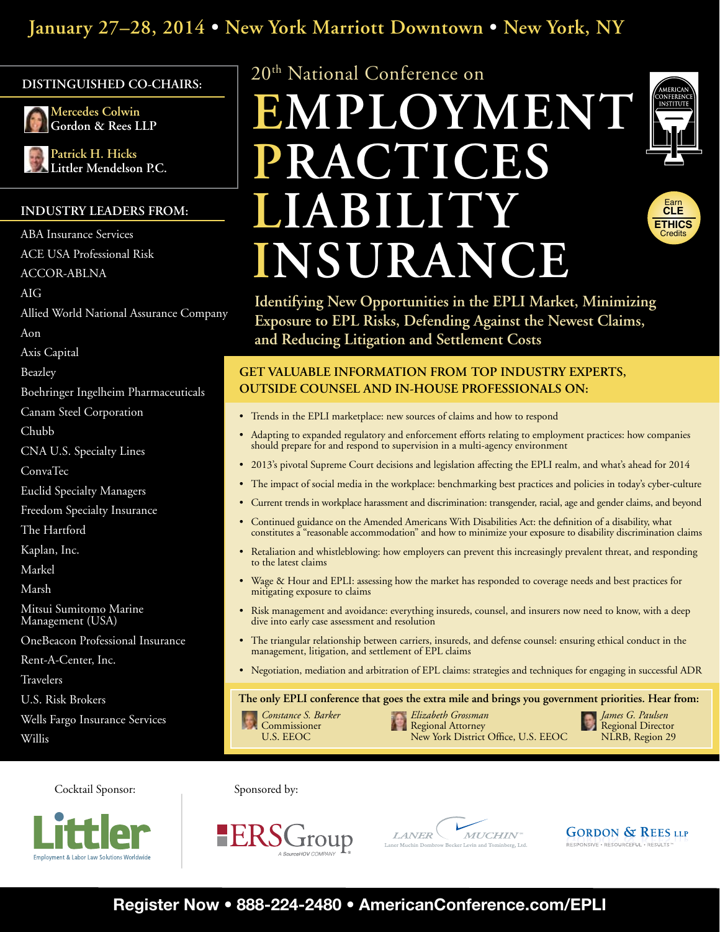# **January 27–28, 2014 • New York Marriott Downtown • New York, NY**

# **Distinguished Co-Chairs:**



**Mercedes Colwin Gordon & Rees LLP**

**Patrick H. Hicks Littler Mendelson P.C.**

# **Industry leaders from:**

ABA Insurance Services ACE USA Professional Risk

ACCOR-ABLNA

AIG

```
Allied World National Assurance Company
```
Aon

Axis Capital

Beazley

Boehringer Ingelheim Pharmaceuticals

Canam Steel Corporation

Chubb

CNA U.S. Specialty Lines

ConvaTec

Euclid Specialty Managers

Freedom Specialty Insurance

The Hartford

Kaplan, Inc.

Markel

Marsh

Mitsui Sumitomo Marine Management (USA)

OneBeacon Professional Insurance

Rent-A-Center, Inc.

Travelers

U.S. Risk Brokers

Wells Fargo Insurance Services

Willis

20th National Conference on

# **EMPLOYMENT PRACTICES LIABILITY INSURANCE**





**Identifying New Opportunities in the EPLI Market, Minimizing Exposure to EPL Risks, Defending Against the Newest Claims, and Reducing Litigation and Settlement Costs**

# **Get valuable information from top industry experts, outside counsel and in-house professionals on:**

- Trends in the EPLI marketplace: new sources of claims and how to respond
- Adapting to expanded regulatory and enforcement efforts relating to employment practices: how companies should prepare for and respond to supervision in a multi-agency environment
- • 2013's pivotal Supreme Court decisions and legislation affecting the EPLI realm, and what's ahead for 2014
- The impact of social media in the workplace: benchmarking best practices and policies in today's cyber-culture
- • Current trends in workplace harassment and discrimination: transgender, racial, age and gender claims, and beyond
- Continued guidance on the Amended Americans With Disabilities Act: the definition of a disability, what constitutes a "reasonable accommodation" and how to minimize your exposure to disability discrimination claims
- • Retaliation and whistleblowing: how employers can prevent this increasingly prevalent threat, and responding to the latest claims
- Wage & Hour and EPLI: assessing how the market has responded to coverage needs and best practices for mitigating exposure to claims
- Risk management and avoidance: everything insureds, counsel, and insurers now need to know, with a deep dive into early case assessment and resolution
- • The triangular relationship between carriers, insureds, and defense counsel: ensuring ethical conduct in the management, litigation, and settlement of EPL claims
- Negotiation, mediation and arbitration of EPL claims: strategies and techniques for engaging in successful ADR

**The only EPLI conference that goes the extra mile and brings you government priorities. Hear from:**

MUCHIN<sup>®</sup>

- 
- *Constance S. Barker Elizabeth Grossman James G. Paulsen* Commissioner **Regional Attorney Regional Attorney** Regional Director U.S. EEOC **Regional Director** Regional Director New York District Office, U.S. EEOC

 $_{LANER}$ 

**GORDON & REES LLP** RESPONSIVE . RESOURCEFUL . RESULTS

Cocktail Sponsor: Sponsored by:



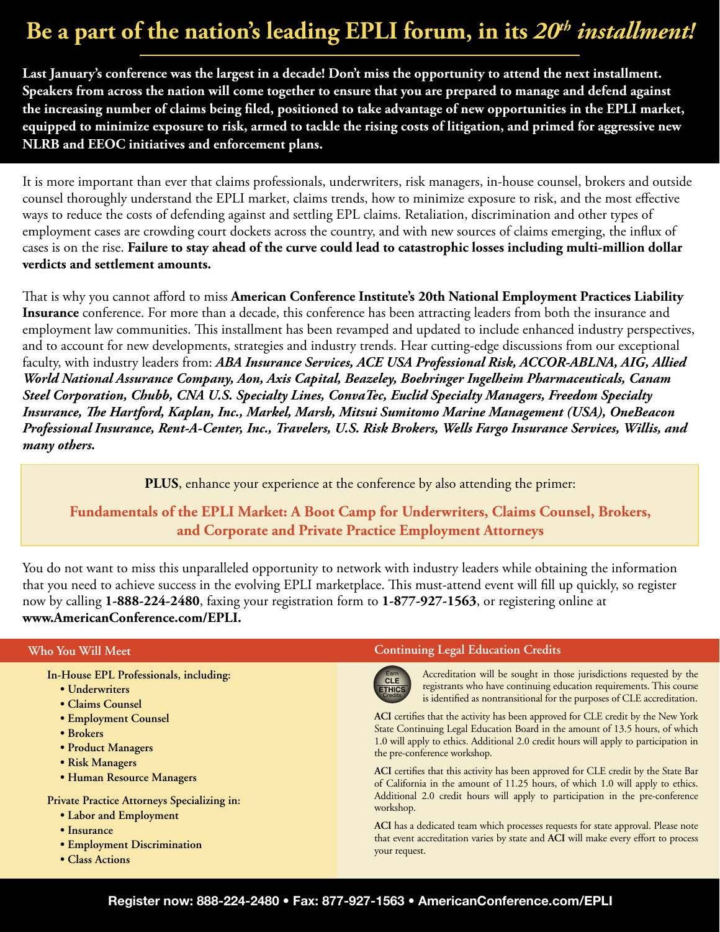# **Be a part of the nation's leading EPLI forum, in its** *20th installment!*

**Last January's conference was the largest in a decade! Don't miss the opportunity to attend the next installment. Speakers from across the nation will come together to ensure that you are prepared to manage and defend against the increasing number of claims being filed, positioned to take advantage of new opportunities in the EPLI market, equipped to minimize exposure to risk, armed to tackle the rising costs of litigation, and primed for aggressive new NLRB and EEOC initiatives and enforcement plans.**

It is more important than ever that claims professionals, underwriters, risk managers, in-house counsel, brokers and outside counsel thoroughly understand the EPLI market, claims trends, how to minimize exposure to risk, and the most effective ways to reduce the costs of defending against and settling EPL claims. Retaliation, discrimination and other types of employment cases are crowding court dockets across the country, and with new sources of claims emerging, the influx of cases is on the rise. **Failure to stay ahead of the curve could lead to catastrophic losses including multi-million dollar verdicts and settlement amounts.**

That is why you cannot afford to miss **American Conference Institute's 20th National Employment Practices Liability Insurance** conference. For more than a decade, this conference has been attracting leaders from both the insurance and employment law communities. This installment has been revamped and updated to include enhanced industry perspectives, and to account for new developments, strategies and industry trends. Hear cutting-edge discussions from our exceptional faculty, with industry leaders from: *ABA Insurance Services, ACE USA Professional Risk, ACCOR-ABLNA, AIG, Allied World National Assurance Company, Aon, Axis Capital, Beazeley, Boehringer Ingelheim Pharmaceuticals, Canam Steel Corporation, Chubb, CNA U.S. Specialty Lines, ConvaTec, Euclid Specialty Managers, Freedom Specialty Insurance, The Hartford, Kaplan, Inc., Markel, Marsh, Mitsui Sumitomo Marine Management (USA), OneBeacon Professional Insurance, Rent-A-Center, Inc., Travelers, U.S. Risk Brokers, Wells Fargo Insurance Services, Willis, and many others.*

**PLUS**, enhance your experience at the conference by also attending the primer:

**Fundamentals of the EPLI Market: A Boot Camp for Underwriters, Claims Counsel, Brokers, and Corporate and Private Practice Employment Attorneys**

You do not want to miss this unparalleled opportunity to network with industry leaders while obtaining the information that you need to achieve success in the evolving EPLI marketplace. This must-attend event will fill up quickly, so register now by calling **1-888-224-2480**, faxing your registration form to **1-877-927-1563**, or registering online at **www.AmericanConference.com/EPLI.**

# **Who You Will Meet**

- **In-House EPL Professionals, including:**
	- **Underwriters**
	- **Claims Counsel**
	- **Employment Counsel**
	- **Brokers**
	- **Product Managers**
	- **Risk Managers**
	- **Human Resource Managers**

**Private Practice Attorneys Specializing in:**

- **Labor and Employment**
- **Insurance**
- **Employment Discrimination**
- **Class Actions**

# **Continuing Legal Education Credits**



Accreditation will be sought in those jurisdictions requested by the registrants who have continuing education requirements. This course is identified as nontransitional for the purposes of CLE accreditation.

**ACI** certifies that the activity has been approved for CLE credit by the New York State Continuing Legal Education Board in the amount of 13.5 hours, of which 1.0 will apply to ethics. Additional 2.0 credit hours will apply to participation in the pre-conference workshop.

**ACI** certifies that this activity has been approved for CLE credit by the State Bar of California in the amount of 11.25 hours, of which 1.0 will apply to ethics. Additional 2.0 credit hours will apply to participation in the pre-conference workshop.

**ACI** has a dedicated team which processes requests for state approval. Please note that event accreditation varies by state and **ACI** will make every effort to process your request.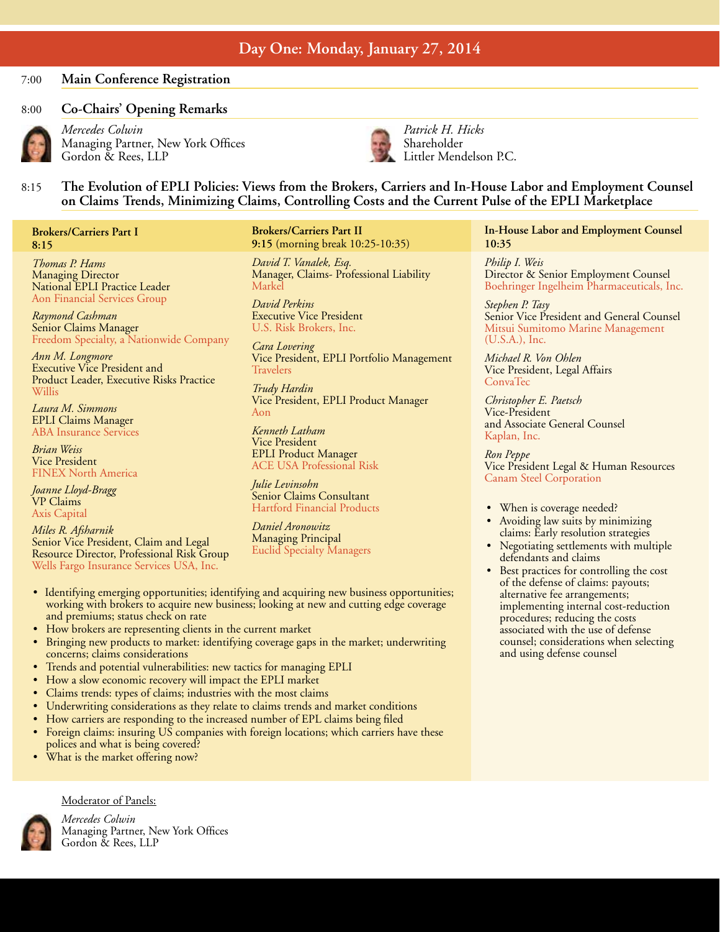# **Day One: Monday, January 27, 2014**

# 7:00 **Main Conference Registration**

# 8:00 **Co-Chairs' Opening Remarks** *Mercedes Colwin*



Managing Partner, New York Offices Gordon & Rees, LLP



*Patrick H. Hicks* Shareholder Littler Mendelson P.C.

# 8:15 **The Evolution of EPLI Policies: Views from the Brokers, Carriers and In-House Labor and Employment Counsel on Claims Trends, Minimizing Claims, Controlling Costs and the Current Pulse of the EPLI Marketplace**

# **Brokers/Carriers Part I 8:15**

*Thomas P. Hams* Managing Director National EPLI Practice Leader Aon Financial Services Group

*Raymond Cashman* Senior Claims Manager Freedom Specialty, a Nationwide Company

*Ann M. Longmore* Executive Vice President and Product Leader, Executive Risks Practice Willis

*Laura M. Simmons* EPLI Claims Manager ABA Insurance Services

*Brian Weiss* Vice President FINEX North America

*Joanne Lloyd-Bragg* VP Claims Axis Capital

*Miles R. Afsharnik* Senior Vice President, Claim and Legal Resource Director, Professional Risk Group Wells Fargo Insurance Services USA, Inc.

### **Brokers/Carriers Part II 9:15** (morning break 10:25-10:35)

*David T. Vanalek, Esq.* Manager, Claims- Professional Liability Markel

*David Perkins* Executive Vice President U.S. Risk Brokers, Inc.

*Cara Lovering* Vice President, EPLI Portfolio Management Travelers

*Trudy Hardin* Vice President, EPLI Product Manager Aon

*Kenneth Latham* Vice President EPLI Product Manager ACE USA Professional Risk

*Julie Levinsohn* Senior Claims Consultant Hartford Financial Products

*Daniel Aronowitz* Managing Principal Euclid Specialty Managers

- Identifying emerging opportunities; identifying and acquiring new business opportunities; working with brokers to acquire new business; looking at new and cutting edge coverage and premiums; status check on rate
- How brokers are representing clients in the current market
- Bringing new products to market: identifying coverage gaps in the market; underwriting concerns; claims considerations
- • Trends and potential vulnerabilities: new tactics for managing EPLI
- How a slow economic recovery will impact the EPLI market
- Claims trends: types of claims; industries with the most claims
- Underwriting considerations as they relate to claims trends and market conditions
- How carriers are responding to the increased number of EPL claims being filed
- Foreign claims: insuring US companies with foreign locations; which carriers have these polices and what is being covered?
- What is the market offering now?

Moderator of Panels:



*Mercedes Colwin*  Managing Partner, New York Offices Gordon & Rees, LLP

**In-House Labor and Employment Counsel 10:35**

*Philip I. Weis* Director & Senior Employment Counsel Boehringer Ingelheim Pharmaceuticals, Inc.

*Stephen P. Tasy* Senior Vice President and General Counsel Mitsui Sumitomo Marine Management (U.S.A.), Inc.

*Michael R. Von Ohlen* Vice President, Legal Affairs ConvaTec

*Christopher E. Paetsch* Vice-President and Associate General Counsel Kaplan, Inc.

*Ron Peppe* Vice President Legal & Human Resources Canam Steel Corporation

- When is coverage needed?
- Avoiding law suits by minimizing claims: Early resolution strategies
- Negotiating settlements with multiple defendants and claims
- Best practices for controlling the cost of the defense of claims: payouts; alternative fee arrangements; implementing internal cost-reduction procedures; reducing the costs associated with the use of defense counsel; considerations when selecting and using defense counsel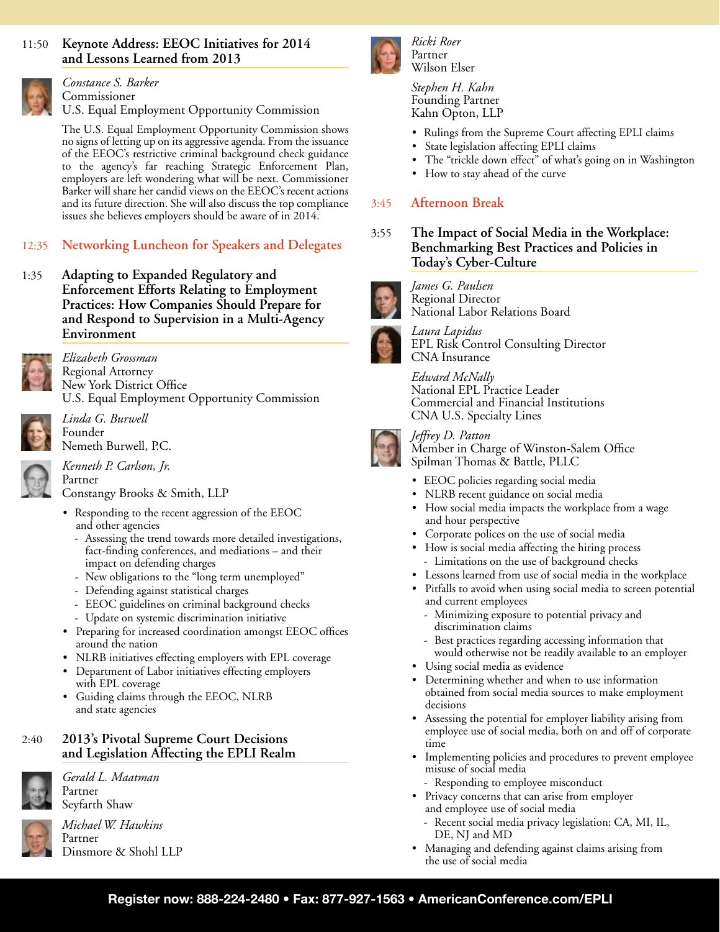# 11:50 **Keynote Address: EEOC Initiatives for 2014 and Lessons Learned from 2013**



*Constance S. Barker*  Commissioner U.S. Equal Employment Opportunity Commission

The U.S. Equal Employment Opportunity Commission shows no signs of letting up on its aggressive agenda. From the issuance of the EEOC's restrictive criminal background check guidance to the agency's far reaching Strategic Enforcement Plan, employers are left wondering what will be next. Commissioner Barker will share her candid views on the EEOC's recent actions and its future direction. She will also discuss the top compliance issues she believes employers should be aware of in 2014.

# 12:35 **Networking Luncheon for Speakers and Delegates**

1:35 **Adapting to Expanded Regulatory and Enforcement Efforts Relating to Employment Practices: How Companies Should Prepare for and Respond to Supervision in a Multi-Agency Environment**



*Elizabeth Grossman*  Regional Attorney New York District Office U.S. Equal Employment Opportunity Commission



*Linda G. Burwell*  Founder Nemeth Burwell, P.C.

*Kenneth P. Carlson, Jr.*  Partner

Constangy Brooks & Smith, LLP

- Responding to the recent aggression of the EEOC and other agencies
	- Assessing the trend towards more detailed investigations, fact-finding conferences, and mediations – and their impact on defending charges
	- New obligations to the "long term unemployed"
	- Defending against statistical charges
	- EEOC guidelines on criminal background checks
	- Update on systemic discrimination initiative
- • Preparing for increased coordination amongst EEOC offices around the nation
- NLRB initiatives effecting employers with EPL coverage
- • Department of Labor initiatives effecting employers with EPL coverage
- • Guiding claims through the EEOC, NLRB and state agencies

# 2:40 **2013's Pivotal Supreme Court Decisions and Legislation Affecting the EPLI Realm**



*Gerald L. Maatman*  Partner Seyfarth Shaw

*Michael W. Hawkins*  Partner Dinsmore & Shohl LLP



*Ricki Roer* Partner Wilson Elser

*Stephen H. Kahn* Founding Partner Kahn Opton, LLP

- • Rulings from the Supreme Court affecting EPLI claims
- State legislation affecting EPLI claims
- • The "trickle down effect" of what's going on in Washington
- • How to stay ahead of the curve

# 3:45 **Afternoon Break**

3:55 **The Impact of Social Media in the Workplace: Benchmarking Best Practices and Policies in Today's Cyber-Culture** 



*James G. Paulsen*  Regional Director National Labor Relations Board



*Laura Lapidus* EPL Risk Control Consulting Director CNA Insurance

*Edward McNally* National EPL Practice Leader Commercial and Financial Institutions CNA U.S. Specialty Lines



*Jeffrey D. Patton*

Member in Charge of Winston-Salem Office Spilman Thomas & Battle, PLLC

- EEOC policies regarding social media
- • NLRB recent guidance on social media
- How social media impacts the workplace from a wage and hour perspective
- • Corporate polices on the use of social media
- • How is social media affecting the hiring process - Limitations on the use of background checks
- • Lessons learned from use of social media in the workplace
- • Pitfalls to avoid when using social media to screen potential and current employees
	- Minimizing exposure to potential privacy and discrimination claims
	- Best practices regarding accessing information that would otherwise not be readily available to an employer
- Using social media as evidence
- • Determining whether and when to use information obtained from social media sources to make employment decisions
- • Assessing the potential for employer liability arising from employee use of social media, both on and off of corporate time
- Implementing policies and procedures to prevent employee misuse of social media
	- Responding to employee misconduct
- Privacy concerns that can arise from employer and employee use of social media
	- Recent social media privacy legislation: CA, MI, IL, DE, NJ and MD
- • Managing and defending against claims arising from the use of social media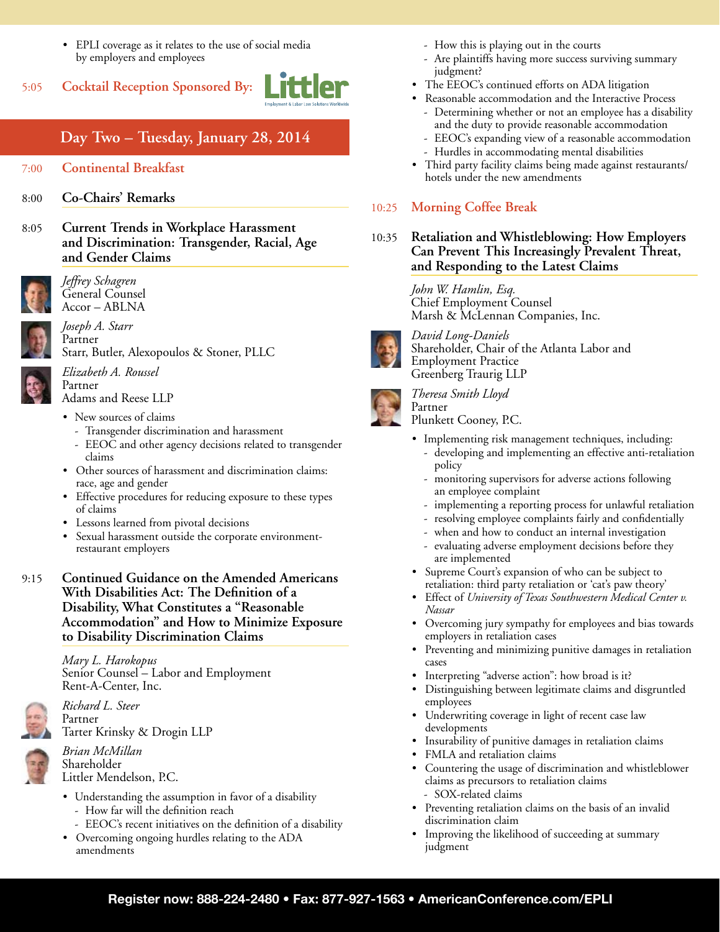- • EPLI coverage as it relates to the use of social media by employers and employees
- 5:05 **Cocktail Reception Sponsored By:**



# **Day Two – Tuesday, January 28, 2014**

# 7:00 **Continental Breakfast**

- 8:00 **Co-Chairs' Remarks**
- 8:05 **Current Trends in Workplace Harassment and Discrimination: Transgender, Racial, Age and Gender Claims**



*Jeffrey Schagren* General Counsel Accor – ABLNA



*Joseph A. Starr*  Partner Starr, Butler, Alexopoulos & Stoner, PLLC

*Elizabeth A. Roussel* Partner Adams and Reese LLP

• New sources of claims

- Transgender discrimination and harassment
- EEOC and other agency decisions related to transgender claims
- Other sources of harassment and discrimination claims: race, age and gender
- • Effective procedures for reducing exposure to these types of claims
- • Lessons learned from pivotal decisions
- Sexual harassment outside the corporate environmentrestaurant employers
- 9:15 **Continued Guidance on the Amended Americans With Disabilities Act: The Definition of a Disability, What Constitutes a "Reasonable Accommodation" and How to Minimize Exposure to Disability Discrimination Claims**

*Mary L. Harokopus* Senior Counsel – Labor and Employment Rent-A-Center, Inc.



*Richard L. Steer*  Partner Tarter Krinsky & Drogin LLP

*Brian McMillan*  Shareholder Littler Mendelson, P.C.

- Understanding the assumption in favor of a disability - How far will the definition reach
	- EEOC's recent initiatives on the definition of a disability
- Overcoming ongoing hurdles relating to the ADA amendments
- How this is playing out in the courts
- Are plaintiffs having more success surviving summary judgment?
- The EEOC's continued efforts on ADA litigation
- Reasonable accommodation and the Interactive Process - Determining whether or not an employee has a disability and the duty to provide reasonable accommodation
	- EEOC's expanding view of a reasonable accommodation
	- Hurdles in accommodating mental disabilities
- Third party facility claims being made against restaurants/ hotels under the new amendments

# 10:25 **Morning Coffee Break**

10:35 **Retaliation and Whistleblowing: How Employers Can Prevent This Increasingly Prevalent Threat, and Responding to the Latest Claims** 

> *John W. Hamlin, Esq.*  Chief Employment Counsel Marsh & McLennan Companies, Inc.



*David Long-Daniels* Shareholder, Chair of the Atlanta Labor and Employment Practice Greenberg Traurig LLP

*Theresa Smith Lloyd*

Partner Plunkett Cooney, P.C.

- • Implementing risk management techniques, including:
	- developing and implementing an effective anti-retaliation policy
	- monitoring supervisors for adverse actions following an employee complaint
	- implementing a reporting process for unlawful retaliation
	- resolving employee complaints fairly and confidentially
	- when and how to conduct an internal investigation
	- evaluating adverse employment decisions before they are implemented
- Supreme Court's expansion of who can be subject to retaliation: third party retaliation or 'cat's paw theory'
- • Effect of *University of Texas Southwestern Medical Center v. Nassar*
- Overcoming jury sympathy for employees and bias towards employers in retaliation cases
- Preventing and minimizing punitive damages in retaliation cases
- Interpreting "adverse action": how broad is it?
- • Distinguishing between legitimate claims and disgruntled employees
- • Underwriting coverage in light of recent case law developments
- Insurability of punitive damages in retaliation claims
- • FMLA and retaliation claims
- Countering the usage of discrimination and whistleblower claims as precursors to retaliation claims SOX-related claims
- • Preventing retaliation claims on the basis of an invalid discrimination claim
- Improving the likelihood of succeeding at summary judgment

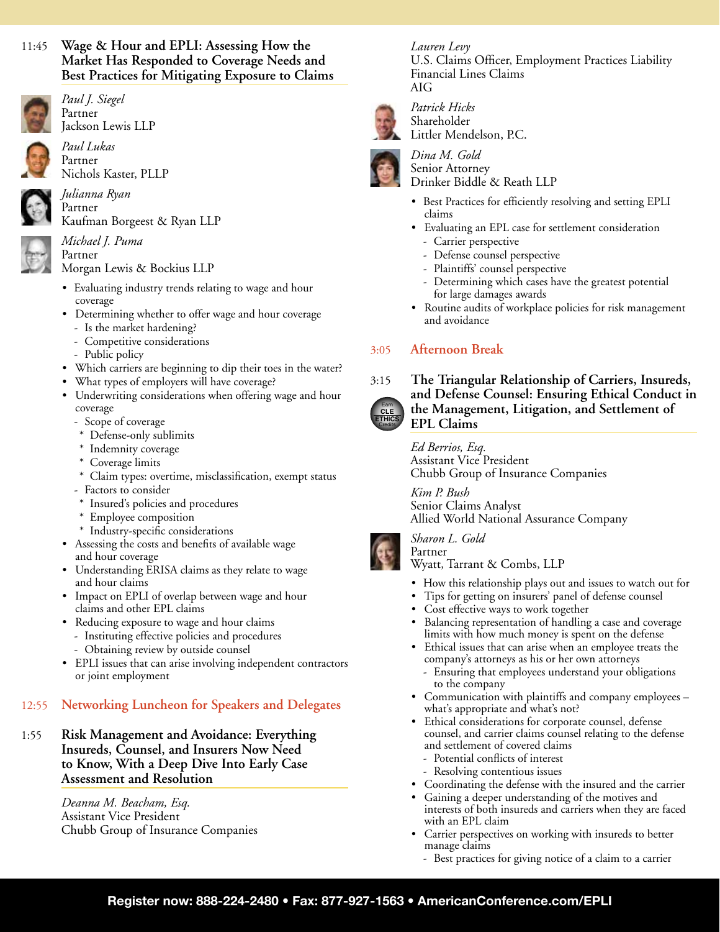# 11:45 **Wage & Hour and EPLI: Assessing How the Market Has Responded to Coverage Needs and Best Practices for Mitigating Exposure to Claims**



*Paul J. Siegel*  Partner Jackson Lewis LLP



*Paul Lukas*  Partner Nichols Kaster, PLLP



*Julianna Ryan*  Partner Kaufman Borgeest & Ryan LLP

## *Michael J. Puma* Partner

Morgan Lewis & Bockius LLP

- Evaluating industry trends relating to wage and hour coverage
- Determining whether to offer wage and hour coverage
	- Is the market hardening?
	- Competitive considerations
	- Public policy
- Which carriers are beginning to dip their toes in the water?
- • What types of employers will have coverage?
- Underwriting considerations when offering wage and hour coverage
	- Scope of coverage
	- \* Defense-only sublimits
	- \* Indemnity coverage
	- \* Coverage limits
	- \* Claim types: overtime, misclassification, exempt status
	- Factors to consider
	- \* Insured's policies and procedures
	- \* Employee composition
	- \* Industry-specific considerations
- • Assessing the costs and benefits of available wage and hour coverage
- Understanding ERISA claims as they relate to wage and hour claims
- Impact on EPLI of overlap between wage and hour claims and other EPL claims
- Reducing exposure to wage and hour claims
	- Instituting effective policies and procedures
	- Obtaining review by outside counsel
- EPLI issues that can arise involving independent contractors or joint employment

# 12:55 **Networking Luncheon for Speakers and Delegates**

1:55 **Risk Management and Avoidance: Everything Insureds, Counsel, and Insurers Now Need to Know, With a Deep Dive Into Early Case Assessment and Resolution**

> *Deanna M. Beacham, Esq.* Assistant Vice President Chubb Group of Insurance Companies

*Patrick Hicks* Shareholder Littler Mendelson, P.C.

Financial Lines Claims

*Lauren Levy*

AIG



*Dina M. Gold* Senior Attorney Drinker Biddle & Reath LLP

• Best Practices for efficiently resolving and setting EPLI claims

U.S. Claims Officer, Employment Practices Liability

- • Evaluating an EPL case for settlement consideration
	- Carrier perspective
	- Defense counsel perspective
	- Plaintiffs' counsel perspective
	- Determining which cases have the greatest potential for large damages awards
- • Routine audits of workplace policies for risk management and avoidance

# 3:05 **Afternoon Break**



3:15 **The Triangular Relationship of Carriers, Insureds, and Defense Counsel: Ensuring Ethical Conduct in the Management, Litigation, and Settlement of EPL Claims**

> *Ed Berrios, Esq.* Assistant Vice President Chubb Group of Insurance Companies

*Kim P. Bush* Senior Claims Analyst Allied World National Assurance Company

*Sharon L. Gold* Partner

Wyatt, Tarrant & Combs, LLP

- How this relationship plays out and issues to watch out for
- Tips for getting on insurers' panel of defense counsel
- Cost effective ways to work together
- Balancing representation of handling a case and coverage limits with how much money is spent on the defense
- • Ethical issues that can arise when an employee treats the company's attorneys as his or her own attorneys
	- Ensuring that employees understand your obligations to the company
- • Communication with plaintiffs and company employees what's appropriate and what's not?
- Ethical considerations for corporate counsel, defense counsel, and carrier claims counsel relating to the defense and settlement of covered claims
	- Potential conflicts of interest
	- Resolving contentious issues
- Coordinating the defense with the insured and the carrier
- Gaining a deeper understanding of the motives and interests of both insureds and carriers when they are faced with an EPL claim
- • Carrier perspectives on working with insureds to better manage claims
	- Best practices for giving notice of a claim to a carrier

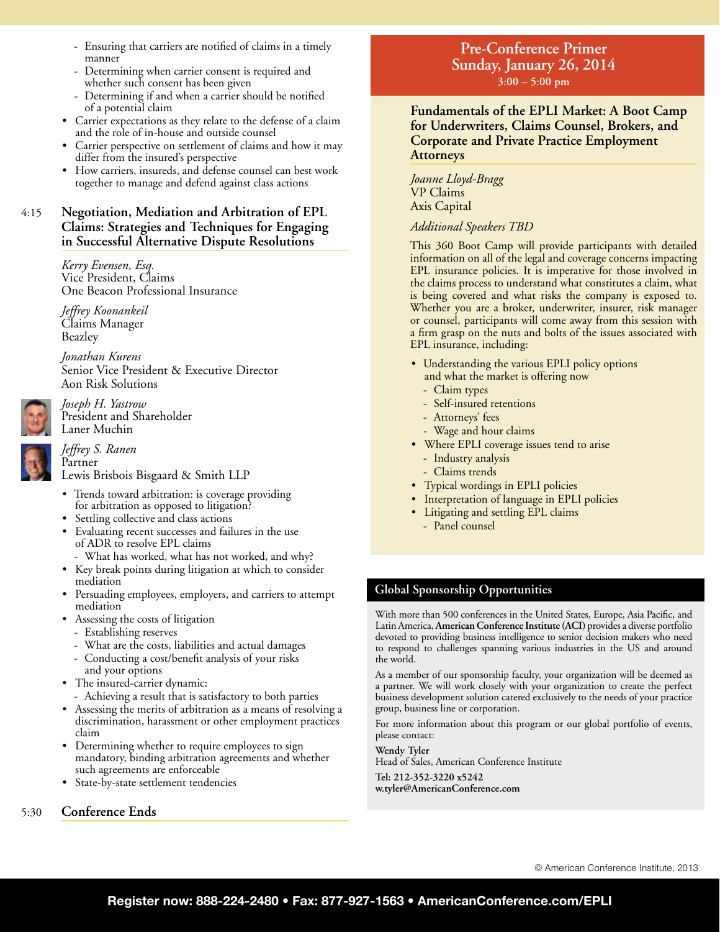- Ensuring that carriers are notified of claims in a timely manner
- Determining when carrier consent is required and whether such consent has been given
- Determining if and when a carrier should be notified of a potential claim
- Carrier expectations as they relate to the defense of a claim and the role of in-house and outside counsel
- Carrier perspective on settlement of claims and how it may differ from the insured's perspective
- How carriers, insureds, and defense counsel can best work together to manage and defend against class actions

# 4:15 **Negotiation, Mediation and Arbitration of EPL Claims: Strategies and Techniques for Engaging in Successful Alternative Dispute Resolutions**

*Kerry Evensen, Esq.*  Vice President, Claims One Beacon Professional Insurance

*Jeffrey Koonankeil* Claims Manager Beazley

*Jonathan Kurens* Senior Vice President & Executive Director Aon Risk Solutions

*Joseph H. Yastrow*  President and Shareholder Laner Muchin



*Jeffrey S. Ranen*  Partner

Lewis Brisbois Bisgaard & Smith LLP

- • Trends toward arbitration: is coverage providing for arbitration as opposed to litigation?
- Settling collective and class actions
- Evaluating recent successes and failures in the use of ADR to resolve EPL claims
	- What has worked, what has not worked, and why?
- • Key break points during litigation at which to consider mediation
- Persuading employees, employers, and carriers to attempt mediation
- Assessing the costs of litigation
- Establishing reserves
- What are the costs, liabilities and actual damages
- Conducting a cost/benefit analysis of your risks and your options
- The insured-carrier dynamic:
- Achieving a result that is satisfactory to both parties
- Assessing the merits of arbitration as a means of resolving a discrimination, harassment or other employment practices claim
- Determining whether to require employees to sign mandatory, binding arbitration agreements and whether such agreements are enforceable
- • State-by-state settlement tendencies

# 5:30 **Conference Ends**

# **Pre-Conference Primer Sunday, January 26, 2014 3:00 – 5:00 pm**

**Fundamentals of the EPLI Market: A Boot Camp for Underwriters, Claims Counsel, Brokers, and Corporate and Private Practice Employment Attorneys**

*Joanne Lloyd-Bragg* VP Claims Axis Capital

*Additional Speakers TBD*

This 360 Boot Camp will provide participants with detailed information on all of the legal and coverage concerns impacting EPL insurance policies. It is imperative for those involved in the claims process to understand what constitutes a claim, what is being covered and what risks the company is exposed to. Whether you are a broker, underwriter, insurer, risk manager or counsel, participants will come away from this session with a firm grasp on the nuts and bolts of the issues associated with EPL insurance, including:

- Understanding the various EPLI policy options and what the market is offering now
	- Claim types
	- Self-insured retentions
	- Attorneys' fees
	- Wage and hour claims
- Where EPLI coverage issues tend to arise
	- Industry analysis
	- Claims trends
- • Typical wordings in EPLI policies
- Interpretation of language in EPLI policies
- • Litigating and settling EPL claims
	- Panel counsel

# **Global Sponsorship Opportunities**

With more than 500 conferences in the United States, Europe, Asia Pacific, and Latin America, **American Conference Institute (ACI)** provides a diverse portfolio devoted to providing business intelligence to senior decision makers who need to respond to challenges spanning various industries in the US and around the world.

As a member of our sponsorship faculty, your organization will be deemed as a partner. We will work closely with your organization to create the perfect business development solution catered exclusively to the needs of your practice group, business line or corporation.

For more information about this program or our global portfolio of events, please contact:

**Wendy Tyler**

Head of Sales, American Conference Institute

**Tel: 212-352-3220 x5242 w.tyler@AmericanConference.com**